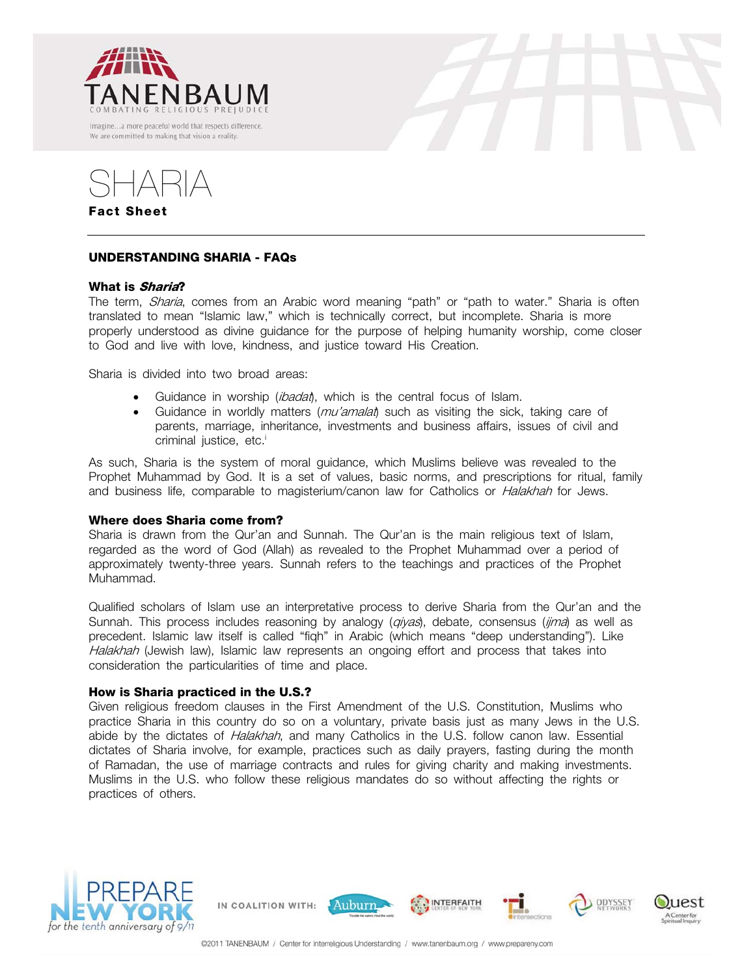





# **UNDERSTANDING SHARIA - FAQs**

## **What is Sharia?**

The term, *Sharia*, comes from an Arabic word meaning "path" or "path to water." Sharia is often translated to mean "Islamic law," which is technically correct, but incomplete. Sharia is more properly understood as divine guidance for the purpose of helping humanity worship, come closer to God and live with love, kindness, and justice toward His Creation.

Sharia is divided into two broad areas:

- Guidance in worship (*ibadat*), which is the central focus of Islam.
- Guidance in worldly matters  $(mu'amala)$  such as visiting the sick, taking care of parents, marriage, inheritance, investments and business affairs, issues of civil and criminal justice, etc.<sup>i</sup>

As such, Sharia is the system of moral guidance, which Muslims believe was revealed to the Prophet Muhammad by God. It is a set of values, basic norms, and prescriptions for ritual, family and business life, comparable to magisterium/canon law for Catholics or *Halakhah* for Jews.

## **Where does Sharia come from?**

Sharia is drawn from the Qur'an and Sunnah. The Qur'an is the main religious text of Islam, regarded as the word of God (Allah) as revealed to the Prophet Muhammad over a period of approximately twenty-three years. Sunnah refers to the teachings and practices of the Prophet Muhammad.

Qualified scholars of Islam use an interpretative process to derive Sharia from the Qur'an and the Sunnah. This process includes reasoning by analogy (*qiyas*), debate, consensus (*ijma*) as well as precedent. Islamic law itself is called "fiqh" in Arabic (which means "deep understanding"). Like Halakhah (Jewish law), Islamic law represents an ongoing effort and process that takes into consideration the particularities of time and place.

## **How is Sharia practiced in the U.S.?**

Given religious freedom clauses in the First Amendment of the U.S. Constitution, Muslims who practice Sharia in this country do so on a voluntary, private basis just as many Jews in the U.S. abide by the dictates of *Halakhah*, and many Catholics in the U.S. follow canon law. Essential dictates of Sharia involve, for example, practices such as daily prayers, fasting during the month of Ramadan, the use of marriage contracts and rules for giving charity and making investments. Muslims in the U.S. who follow these religious mandates do so without affecting the rights or practices of others.



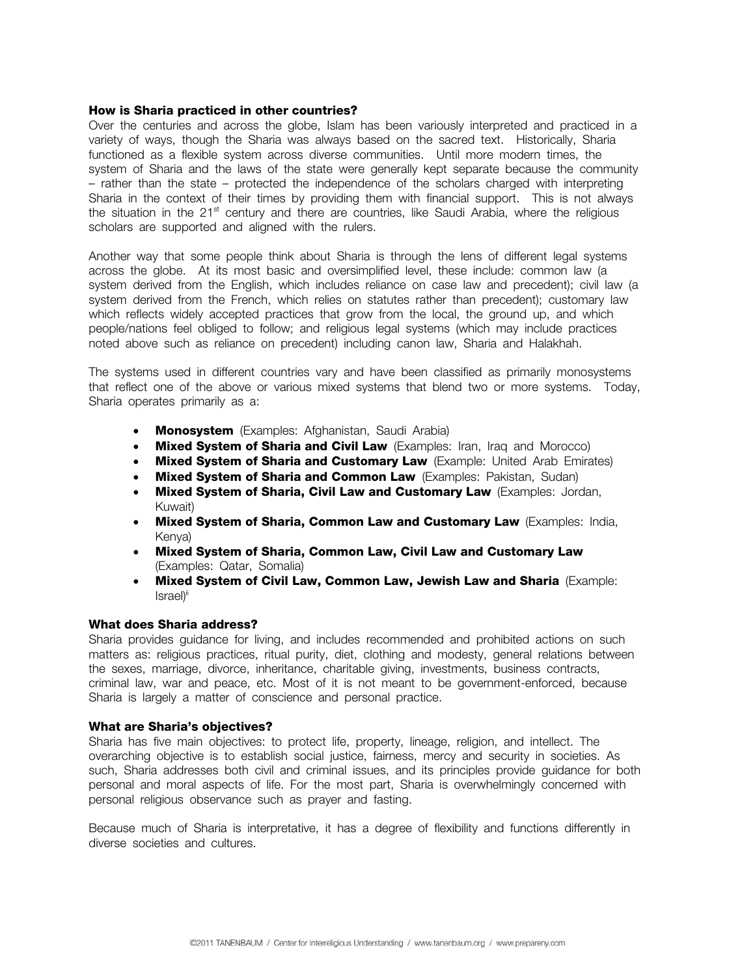## **How is Sharia practiced in other countries?**

Over the centuries and across the globe, Islam has been variously interpreted and practiced in a variety of ways, though the Sharia was always based on the sacred text. Historically, Sharia functioned as a flexible system across diverse communities. Until more modern times, the system of Sharia and the laws of the state were generally kept separate because the community – rather than the state – protected the independence of the scholars charged with interpreting Sharia in the context of their times by providing them with financial support. This is not always the situation in the  $21<sup>st</sup>$  century and there are countries, like Saudi Arabia, where the religious scholars are supported and aligned with the rulers.

Another way that some people think about Sharia is through the lens of different legal systems across the globe. At its most basic and oversimplified level, these include: common law (a system derived from the English, which includes reliance on case law and precedent); civil law (a system derived from the French, which relies on statutes rather than precedent); customary law which reflects widely accepted practices that grow from the local, the ground up, and which people/nations feel obliged to follow; and religious legal systems (which may include practices noted above such as reliance on precedent) including canon law, Sharia and Halakhah.

The systems used in different countries vary and have been classified as primarily monosystems that reflect one of the above or various mixed systems that blend two or more systems. Today, Sharia operates primarily as a:

- **Monosystem** (Examples: Afghanistan, Saudi Arabia)
- **Mixed System of Sharia and Civil Law** (Examples: Iran, Iraq and Morocco)
- **Mixed System of Sharia and Customary Law** (Example: United Arab Emirates)
- **Mixed System of Sharia and Common Law** (Examples: Pakistan, Sudan)
- **Mixed System of Sharia, Civil Law and Customary Law** (Examples: Jordan, Kuwait)
- **Mixed System of Sharia, Common Law and Customary Law** (Examples: India, Kenya)
- **Mixed System of Sharia, Common Law, Civil Law and Customary Law** (Examples: Qatar, Somalia)
- **Mixed System of Civil Law, Common Law, Jewish Law and Sharia** (Example: Israel)<sup>ii</sup>

## **What does Sharia address?**

Sharia provides guidance for living, and includes recommended and prohibited actions on such matters as: religious practices, ritual purity, diet, clothing and modesty, general relations between the sexes, marriage, divorce, inheritance, charitable giving, investments, business contracts, criminal law, war and peace, etc. Most of it is not meant to be government-enforced, because Sharia is largely a matter of conscience and personal practice.

## **What are Sharia's objectives?**

Sharia has five main objectives: to protect life, property, lineage, religion, and intellect. The overarching objective is to establish social justice, fairness, mercy and security in societies. As such, Sharia addresses both civil and criminal issues, and its principles provide guidance for both personal and moral aspects of life. For the most part, Sharia is overwhelmingly concerned with personal religious observance such as prayer and fasting.

Because much of Sharia is interpretative, it has a degree of flexibility and functions differently in diverse societies and cultures.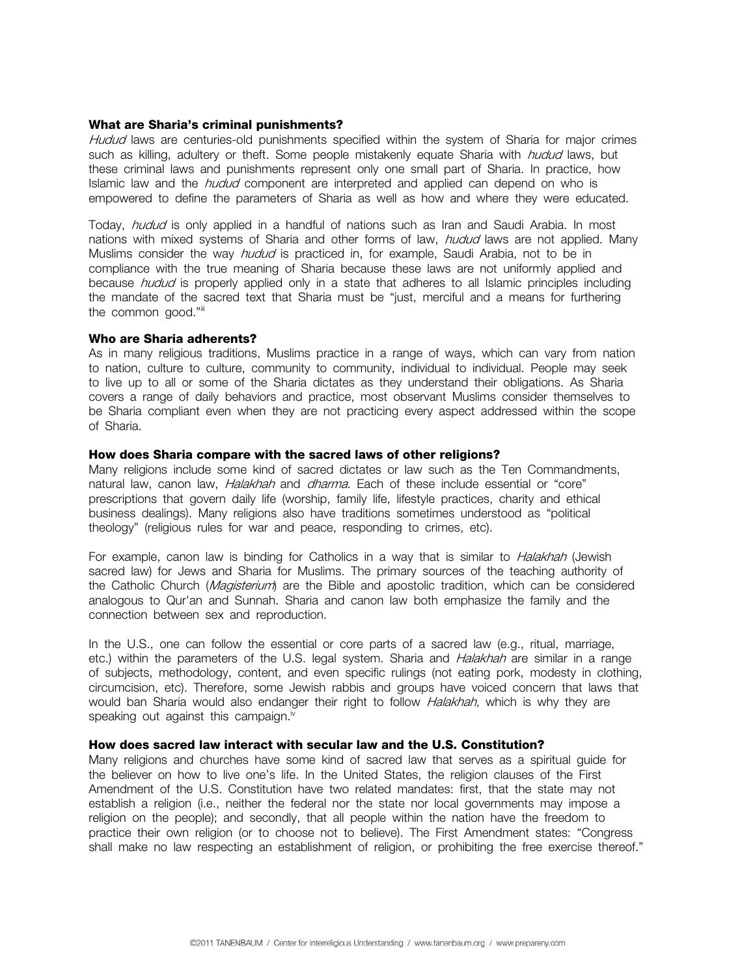## **What are Sharia's criminal punishments?**

Hudud laws are centuries-old punishments specified within the system of Sharia for major crimes such as killing, adultery or theft. Some people mistakenly equate Sharia with *hudud* laws, but these criminal laws and punishments represent only one small part of Sharia. In practice, how Islamic law and the *hudud* component are interpreted and applied can depend on who is empowered to define the parameters of Sharia as well as how and where they were educated.

Today, *hudud* is only applied in a handful of nations such as Iran and Saudi Arabia. In most nations with mixed systems of Sharia and other forms of law, *hudud* laws are not applied. Many Muslims consider the way *hudud* is practiced in, for example, Saudi Arabia, not to be in compliance with the true meaning of Sharia because these laws are not uniformly applied and because *hudud* is properly applied only in a state that adheres to all Islamic principles including the mandate of the sacred text that Sharia must be "just, merciful and a means for furthering the common good."iii

## **Who are Sharia adherents?**

As in many religious traditions, Muslims practice in a range of ways, which can vary from nation to nation, culture to culture, community to community, individual to individual. People may seek to live up to all or some of the Sharia dictates as they understand their obligations. As Sharia covers a range of daily behaviors and practice, most observant Muslims consider themselves to be Sharia compliant even when they are not practicing every aspect addressed within the scope of Sharia.

## **How does Sharia compare with the sacred laws of other religions?**

Many religions include some kind of sacred dictates or law such as the Ten Commandments, natural law, canon law, *Halakhah* and *dharma*. Each of these include essential or "core" prescriptions that govern daily life (worship, family life, lifestyle practices, charity and ethical business dealings). Many religions also have traditions sometimes understood as "political theology" (religious rules for war and peace, responding to crimes, etc).

For example, canon law is binding for Catholics in a way that is similar to *Halakhah* (Jewish sacred law) for Jews and Sharia for Muslims. The primary sources of the teaching authority of the Catholic Church (Magisterium) are the Bible and apostolic tradition, which can be considered analogous to Qur'an and Sunnah. Sharia and canon law both emphasize the family and the connection between sex and reproduction.

In the U.S., one can follow the essential or core parts of a sacred law (e.g., ritual, marriage, etc.) within the parameters of the U.S. legal system. Sharia and *Halakhah* are similar in a range of subjects, methodology, content, and even specific rulings (not eating pork, modesty in clothing, circumcision, etc). Therefore, some Jewish rabbis and groups have voiced concern that laws that would ban Sharia would also endanger their right to follow *Halakhah*, which is why they are speaking out against this campaign.<sup>iv</sup>

#### **How does sacred law interact with secular law and the U.S. Constitution?**

Many religions and churches have some kind of sacred law that serves as a spiritual guide for the believer on how to live one's life. In the United States, the religion clauses of the First Amendment of the U.S. Constitution have two related mandates: first, that the state may not establish a religion (i.e., neither the federal nor the state nor local governments may impose a religion on the people); and secondly, that all people within the nation have the freedom to practice their own religion (or to choose not to believe). The First Amendment states: "Congress shall make no law respecting an establishment of religion, or prohibiting the free exercise thereof."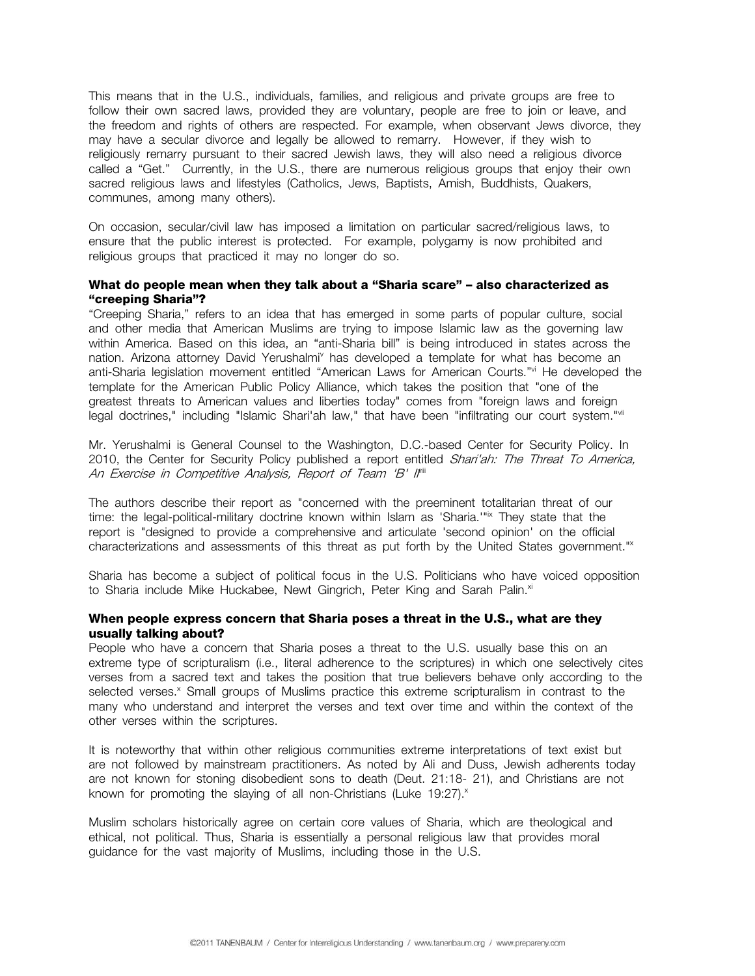This means that in the U.S., individuals, families, and religious and private groups are free to follow their own sacred laws, provided they are voluntary, people are free to join or leave, and the freedom and rights of others are respected. For example, when observant Jews divorce, they may have a secular divorce and legally be allowed to remarry. However, if they wish to religiously remarry pursuant to their sacred Jewish laws, they will also need a religious divorce called a "Get." Currently, in the U.S., there are numerous religious groups that enjoy their own sacred religious laws and lifestyles (Catholics, Jews, Baptists, Amish, Buddhists, Quakers, communes, among many others).

On occasion, secular/civil law has imposed a limitation on particular sacred/religious laws, to ensure that the public interest is protected. For example, polygamy is now prohibited and religious groups that practiced it may no longer do so.

## **What do people mean when they talk about a "Sharia scare" – also characterized as "creeping Sharia"?**

"Creeping Sharia," refers to an idea that has emerged in some parts of popular culture, social and other media that American Muslims are trying to impose Islamic law as the governing law within America. Based on this idea, an "anti-Sharia bill" is being introduced in states across the nation. Arizona attorney David Yerushalmi<sup>v</sup> has developed a template for what has become an anti-Sharia legislation movement entitled "American Laws for American Courts."vi He developed the template for the American Public Policy Alliance, which takes the position that "one of the greatest threats to American values and liberties today" comes from "foreign laws and foreign legal doctrines," including "Islamic Shari'ah law," that have been "infiltrating our court system."vii

Mr. Yerushalmi is General Counsel to the Washington, D.C.-based Center for Security Policy. In 2010, the Center for Security Policy published a report entitled Shari'ah: The Threat To America, An Exercise in Competitive Analysis, Report of Team 'B' I'<sup>iii</sup>

The authors describe their report as "concerned with the preeminent totalitarian threat of our time: the legal-political-military doctrine known within Islam as 'Sharia.'"<sup>ix</sup> They state that the report is "designed to provide a comprehensive and articulate 'second opinion' on the official characterizations and assessments of this threat as put forth by the United States government."<sup>x</sup>

Sharia has become a subject of political focus in the U.S. Politicians who have voiced opposition to Sharia include Mike Huckabee, Newt Gingrich, Peter King and Sarah Palin.<sup>xi</sup>

## **When people express concern that Sharia poses a threat in the U.S., what are they usually talking about?**

People who have a concern that Sharia poses a threat to the U.S. usually base this on an extreme type of scripturalism (i.e., literal adherence to the scriptures) in which one selectively cites verses from a sacred text and takes the position that true believers behave only according to the selected verses.<sup>x</sup> Small groups of Muslims practice this extreme scripturalism in contrast to the many who understand and interpret the verses and text over time and within the context of the other verses within the scriptures.

It is noteworthy that within other religious communities extreme interpretations of text exist but are not followed by mainstream practitioners. As noted by Ali and Duss, Jewish adherents today are not known for stoning disobedient sons to death (Deut. 21:18- 21), and Christians are not known for promoting the slaying of all non-Christians (Luke 19:27). $^{x}$ 

Muslim scholars historically agree on certain core values of Sharia, which are theological and ethical, not political. Thus, Sharia is essentially a personal religious law that provides moral guidance for the vast majority of Muslims, including those in the U.S.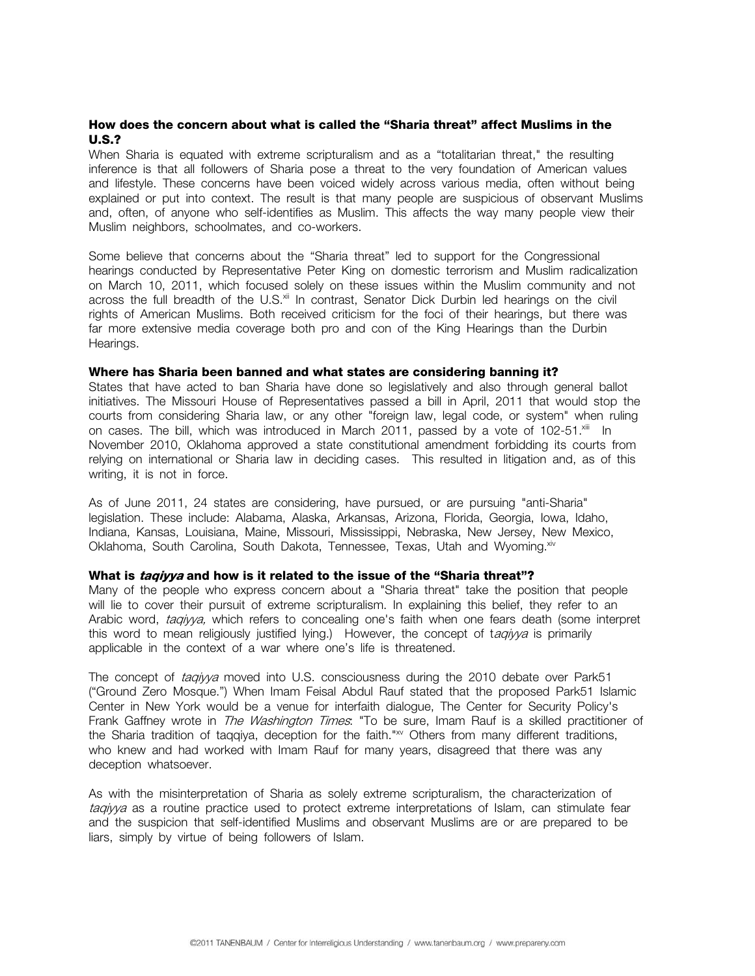## **How does the concern about what is called the "Sharia threat" affect Muslims in the U.S.?**

When Sharia is equated with extreme scripturalism and as a "totalitarian threat," the resulting inference is that all followers of Sharia pose a threat to the very foundation of American values and lifestyle. These concerns have been voiced widely across various media, often without being explained or put into context. The result is that many people are suspicious of observant Muslims and, often, of anyone who self-identifies as Muslim. This affects the way many people view their Muslim neighbors, schoolmates, and co-workers.

Some believe that concerns about the "Sharia threat" led to support for the Congressional hearings conducted by Representative Peter King on domestic terrorism and Muslim radicalization on March 10, 2011, which focused solely on these issues within the Muslim community and not across the full breadth of the U.S.<sup>xii</sup> In contrast, Senator Dick Durbin led hearings on the civil rights of American Muslims. Both received criticism for the foci of their hearings, but there was far more extensive media coverage both pro and con of the King Hearings than the Durbin Hearings.

## **Where has Sharia been banned and what states are considering banning it?**

States that have acted to ban Sharia have done so legislatively and also through general ballot initiatives. The Missouri House of Representatives passed a bill in April, 2011 that would stop the courts from considering Sharia law, or any other "foreign law, legal code, or system" when ruling on cases. The bill, which was introduced in March 2011, passed by a vote of 102-51. $x$ iii In November 2010, Oklahoma approved a state constitutional amendment forbidding its courts from relying on international or Sharia law in deciding cases. This resulted in litigation and, as of this writing, it is not in force.

As of June 2011, 24 states are considering, have pursued, or are pursuing "anti-Sharia" legislation. These include: Alabama, Alaska, Arkansas, Arizona, Florida, Georgia, Iowa, Idaho, Indiana, Kansas, Louisiana, Maine, Missouri, Mississippi, Nebraska, New Jersey, New Mexico, Oklahoma, South Carolina, South Dakota, Tennessee, Texas, Utah and Wyoming.<sup>xiv</sup>

## **What is taqiyya and how is it related to the issue of the "Sharia threat"?**

Many of the people who express concern about a "Sharia threat" take the position that people will lie to cover their pursuit of extreme scripturalism. In explaining this belief, they refer to an Arabic word, *taqiyya*, which refers to concealing one's faith when one fears death (some interpret this word to mean religiously justified lying.) However, the concept of tagivya is primarily applicable in the context of a war where one's life is threatened.

The concept of taqiyya moved into U.S. consciousness during the 2010 debate over Park51 ("Ground Zero Mosque.") When Imam Feisal Abdul Rauf stated that the proposed Park51 Islamic Center in New York would be a venue for interfaith dialogue, The Center for Security Policy's Frank Gaffney wrote in *The Washington Times*: "To be sure, Imam Rauf is a skilled practitioner of the Sharia tradition of taqqiya, deception for the faith."<sup>xv</sup> Others from many different traditions, who knew and had worked with Imam Rauf for many years, disagreed that there was any deception whatsoever.

As with the misinterpretation of Sharia as solely extreme scripturalism, the characterization of tagiyya as a routine practice used to protect extreme interpretations of Islam, can stimulate fear and the suspicion that self-identified Muslims and observant Muslims are or are prepared to be liars, simply by virtue of being followers of Islam.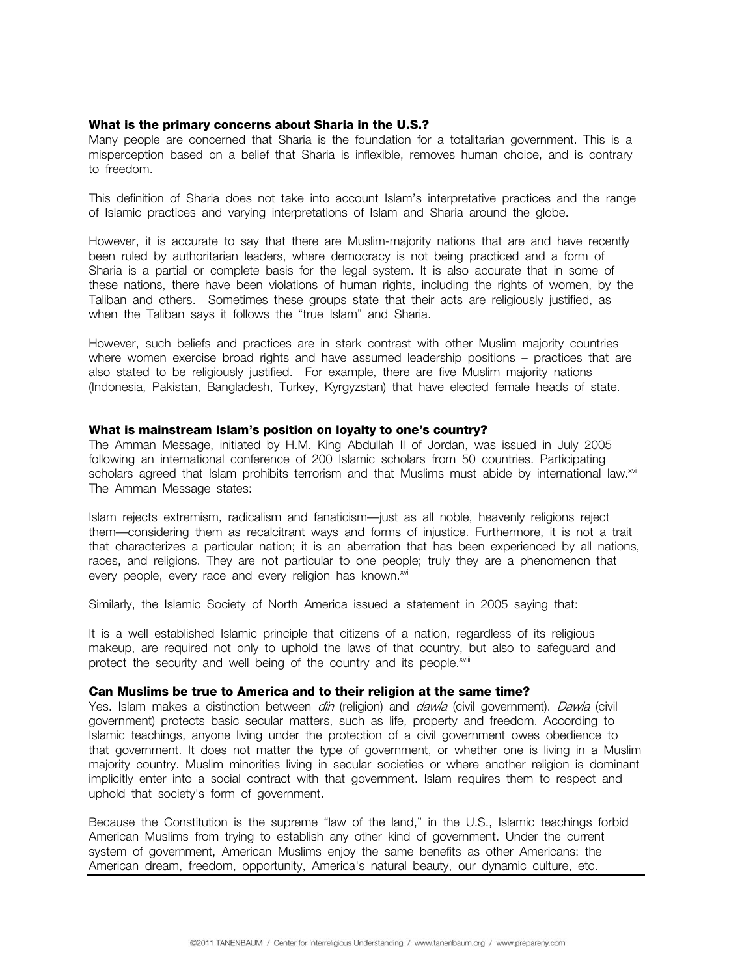## **What is the primary concerns about Sharia in the U.S.?**

Many people are concerned that Sharia is the foundation for a totalitarian government. This is a misperception based on a belief that Sharia is inflexible, removes human choice, and is contrary to freedom.

This definition of Sharia does not take into account Islam's interpretative practices and the range of Islamic practices and varying interpretations of Islam and Sharia around the globe.

However, it is accurate to say that there are Muslim-majority nations that are and have recently been ruled by authoritarian leaders, where democracy is not being practiced and a form of Sharia is a partial or complete basis for the legal system. It is also accurate that in some of these nations, there have been violations of human rights, including the rights of women, by the Taliban and others. Sometimes these groups state that their acts are religiously justified, as when the Taliban says it follows the "true Islam" and Sharia.

However, such beliefs and practices are in stark contrast with other Muslim majority countries where women exercise broad rights and have assumed leadership positions – practices that are also stated to be religiously justified. For example, there are five Muslim majority nations (Indonesia, Pakistan, Bangladesh, Turkey, Kyrgyzstan) that have elected female heads of state.

## **What is mainstream Islam's position on loyalty to one's country?**

The Amman Message, initiated by H.M. King Abdullah II of Jordan, was issued in July 2005 following an international conference of 200 Islamic scholars from 50 countries. Participating scholars agreed that Islam prohibits terrorism and that Muslims must abide by international law.<sup>xvi</sup> The Amman Message states:

Islam rejects extremism, radicalism and fanaticism—just as all noble, heavenly religions reject them—considering them as recalcitrant ways and forms of injustice. Furthermore, it is not a trait that characterizes a particular nation; it is an aberration that has been experienced by all nations, races, and religions. They are not particular to one people; truly they are a phenomenon that every people, every race and every religion has known.<sup>xvii</sup>

Similarly, the Islamic Society of North America issued a statement in 2005 saying that:

It is a well established Islamic principle that citizens of a nation, regardless of its religious makeup, are required not only to uphold the laws of that country, but also to safeguard and protect the security and well being of the country and its people.<sup>xviii</sup>

## **Can Muslims be true to America and to their religion at the same time?**

Yes. Islam makes a distinction between *din* (religion) and *dawla* (civil government). *Dawla* (civil government) protects basic secular matters, such as life, property and freedom. According to Islamic teachings, anyone living under the protection of a civil government owes obedience to that government. It does not matter the type of government, or whether one is living in a Muslim majority country. Muslim minorities living in secular societies or where another religion is dominant implicitly enter into a social contract with that government. Islam requires them to respect and uphold that society's form of government.

Because the Constitution is the supreme "law of the land," in the U.S., Islamic teachings forbid American Muslims from trying to establish any other kind of government. Under the current system of government, American Muslims enjoy the same benefits as other Americans: the American dream, freedom, opportunity, America's natural beauty, our dynamic culture, etc.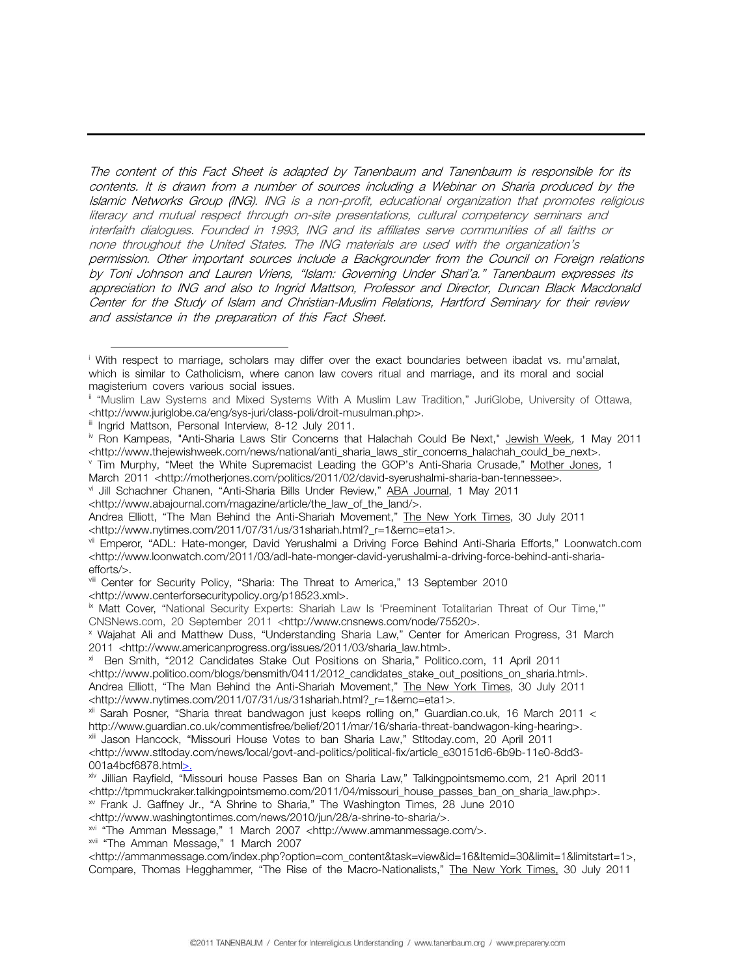The content of this Fact Sheet is adapted by Tanenbaum and Tanenbaum is responsible for its contents. It is drawn from a number of sources including a Webinar on Sharia produced by the Islamic Networks Group (ING). ING is a non-profit, educational organization that promotes religious literacy and mutual respect through on-site presentations, cultural competency seminars and interfaith dialogues. Founded in 1993, ING and its affiliates serve communities of all faiths or none throughout the United States. The ING materials are used with the organization's permission. Other important sources include a Backgrounder from the Council on Foreign relations by Toni Johnson and Lauren Vriens, "Islam: Governing Under Shari'a." Tanenbaum expresses its appreciation to ING and also to Ingrid Mattson, Professor and Director, Duncan Black Macdonald Center for the Study of Islam and Christian-Muslim Relations, Hartford Seminary for their review and assistance in the preparation of this Fact Sheet.

- Tim Murphy, "Meet the White Supremacist Leading the GOP's Anti-Sharia Crusade," Mother Jones, 1 March 2011 <http://motherjones.com/politics/2011/02/david-syerushalmi-sharia-ban-tennessee>.
- vi Jill Schachner Chanen, "Anti-Sharia Bills Under Review," ABA Journal, 1 May 2011
- <http://www.abajournal.com/magazine/article/the\_law\_of\_the\_land/>.

x Wajahat Ali and Matthew Duss, "Understanding Sharia Law," Center for American Progress, 31 March 2011 <http://www.americanprogress.org/issues/2011/03/sharia\_law.html>.

<http://www.politico.com/blogs/bensmith/0411/2012\_candidates\_stake\_out\_positions\_on\_sharia.html>. Andrea Elliott, "The Man Behind the Anti-Shariah Movement," The New York Times, 30 July 2011 <http://www.nytimes.com/2011/07/31/us/31shariah.html?\_r=1&emc=eta1>.

i <sup>i</sup> With respect to marriage, scholars may differ over the exact boundaries between ibadat vs. mu'amalat, which is similar to Catholicism, where canon law covers ritual and marriage, and its moral and social magisterium covers various social issues.

ii "Muslim Law Systems and Mixed Systems With A Muslim Law Tradition," JuriGlobe, University of Ottawa, <http://www.juriglobe.ca/eng/sys-juri/class-poli/droit-musulman.php>.

iii Ingrid Mattson, Personal Interview, 8-12 July 2011.

<sup>&</sup>lt;sup>iv</sup> Ron Kampeas, "Anti-Sharia Laws Stir Concerns that Halachah Could Be Next," Jewish Week, 1 May 2011 <http://www.thejewishweek.com/news/national/anti\_sharia\_laws\_stir\_concerns\_halachah\_could\_be\_next>.

Andrea Elliott, "The Man Behind the Anti-Shariah Movement," The New York Times, 30 July 2011 <http://www.nytimes.com/2011/07/31/us/31shariah.html?\_r=1&emc=eta1>.

vii Emperor, "ADL: Hate-monger, David Yerushalmi a Driving Force Behind Anti-Sharia Efforts," Loonwatch.com <http://www.loonwatch.com/2011/03/adl-hate-monger-david-yerushalmi-a-driving-force-behind-anti-shariaefforts/>.

viii Center for Security Policy, "Sharia: The Threat to America," 13 September 2010 <http://www.centerforsecuritypolicy.org/p18523.xml>.

<sup>&</sup>lt;sup>ix</sup> Matt Cover, "National Security Experts: Shariah Law Is 'Preeminent Totalitarian Threat of Our Time,"" CNSNews.com, 20 September 2011 <http://www.cnsnews.com/node/75520>.

xi Ben Smith, "2012 Candidates Stake Out Positions on Sharia," Politico.com, 11 April 2011

<sup>&</sup>lt;sup>xii</sup> Sarah Posner, "Sharia threat bandwagon just keeps rolling on," Guardian.co.uk, 16 March 2011 < http://www.guardian.co.uk/commentisfree/belief/2011/mar/16/sharia-threat-bandwagon-king-hearing>.

xiii Jason Hancock, "Missouri House Votes to ban Sharia Law," Stltoday.com, 20 April 2011 <http://www.stltoday.com/news/local/govt-and-politics/political-fix/article\_e30151d6-6b9b-11e0-8dd3-001a4bcf6878.html>.

xiv Jillian Rayfield, "Missouri house Passes Ban on Sharia Law," Talkingpointsmemo.com, 21 April 2011 <http://tpmmuckraker.talkingpointsmemo.com/2011/04/missouri\_house\_passes\_ban\_on\_sharia\_law.php>.

xv Frank J. Gaffney Jr., "A Shrine to Sharia," The Washington Times, 28 June 2010

<sup>&</sup>lt;http://www.washingtontimes.com/news/2010/jun/28/a-shrine-to-sharia/>.

xvi "The Amman Message," 1 March 2007 <http://www.ammanmessage.com/>.

xvii "The Amman Message," 1 March 2007

<sup>&</sup>lt;http://ammanmessage.com/index.php?option=com\_content&task=view&id=16&Itemid=30&limit=1&limitstart=1>. Compare, Thomas Hegghammer, "The Rise of the Macro-Nationalists," The New York Times, 30 July 2011